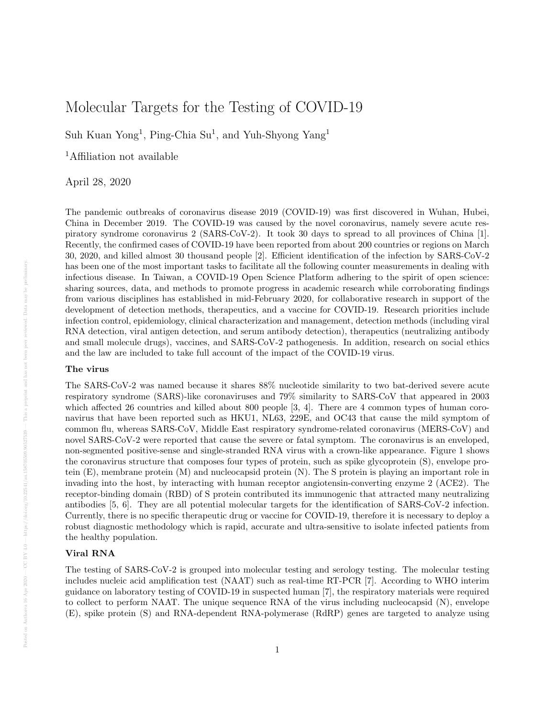# Molecular Targets for the Testing of COVID-19

Suh Kuan Yong<sup>1</sup>, Ping-Chia Su<sup>1</sup>, and Yuh-Shyong Yang<sup>1</sup>

<sup>1</sup>Affiliation not available

April 28, 2020

The pandemic outbreaks of coronavirus disease 2019 (COVID-19) was first discovered in Wuhan, Hubei, China in December 2019. The COVID-19 was caused by the novel coronavirus, namely severe acute respiratory syndrome coronavirus 2 (SARS-CoV-2). It took 30 days to spread to all provinces of China [1]. Recently, the confirmed cases of COVID-19 have been reported from about 200 countries or regions on March 30, 2020, and killed almost 30 thousand people [2]. Efficient identification of the infection by SARS-CoV-2 has been one of the most important tasks to facilitate all the following counter measurements in dealing with infectious disease. In Taiwan, a COVID-19 Open Science Platform adhering to the spirit of open science: sharing sources, data, and methods to promote progress in academic research while corroborating findings from various disciplines has established in mid-February 2020, for collaborative research in support of the development of detection methods, therapeutics, and a vaccine for COVID-19. Research priorities include infection control, epidemiology, clinical characterization and management, detection methods (including viral RNA detection, viral antigen detection, and serum antibody detection), therapeutics (neutralizing antibody and small molecule drugs), vaccines, and SARS-CoV-2 pathogenesis. In addition, research on social ethics and the law are included to take full account of the impact of the COVID-19 virus.

# The virus

The SARS-CoV-2 was named because it shares 88% nucleotide similarity to two bat-derived severe acute respiratory syndrome (SARS)-like coronaviruses and 79% similarity to SARS-CoV that appeared in 2003 which affected 26 countries and killed about 800 people [3, 4]. There are 4 common types of human coronavirus that have been reported such as HKU1, NL63, 229E, and OC43 that cause the mild symptom of common flu, whereas SARS-CoV, Middle East respiratory syndrome-related coronavirus (MERS-CoV) and novel SARS-CoV-2 were reported that cause the severe or fatal symptom. The coronavirus is an enveloped, non-segmented positive-sense and single-stranded RNA virus with a crown-like appearance. Figure 1 shows the coronavirus structure that composes four types of protein, such as spike glycoprotein (S), envelope protein (E), membrane protein (M) and nucleocapsid protein (N). The S protein is playing an important role in invading into the host, by interacting with human receptor angiotensin-converting enzyme 2 (ACE2). The receptor-binding domain (RBD) of S protein contributed its immunogenic that attracted many neutralizing antibodies [5, 6]. They are all potential molecular targets for the identification of SARS-CoV-2 infection. Currently, there is no specific therapeutic drug or vaccine for COVID-19, therefore it is necessary to deploy a robust diagnostic methodology which is rapid, accurate and ultra-sensitive to isolate infected patients from the healthy population.

# Viral RNA

The testing of SARS-CoV-2 is grouped into molecular testing and serology testing. The molecular testing includes nucleic acid amplification test (NAAT) such as real-time RT-PCR [7]. According to WHO interim guidance on laboratory testing of COVID-19 in suspected human [7], the respiratory materials were required to collect to perform NAAT. The unique sequence RNA of the virus including nucleocapsid (N), envelope (E), spike protein (S) and RNA-dependent RNA-polymerase (RdRP) genes are targeted to analyze using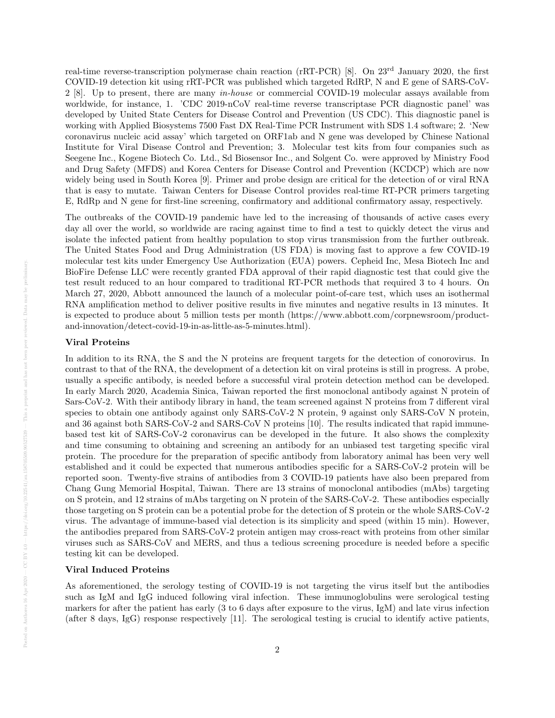real-time reverse-transcription polymerase chain reaction (rRT-PCR) [8]. On 23rd January 2020, the first COVID-19 detection kit using rRT-PCR was published which targeted RdRP, N and E gene of SARS-CoV-2 [8]. Up to present, there are many in-house or commercial COVID-19 molecular assays available from worldwide, for instance, 1. 'CDC 2019-nCoV real-time reverse transcriptase PCR diagnostic panel' was developed by United State Centers for Disease Control and Prevention (US CDC). This diagnostic panel is working with Applied Biosystems 7500 Fast DX Real-Time PCR Instrument with SDS 1.4 software; 2. 'New coronavirus nucleic acid assay' which targeted on ORF1ab and N gene was developed by Chinese National Institute for Viral Disease Control and Prevention; 3. Molecular test kits from four companies such as Seegene Inc., Kogene Biotech Co. Ltd., Sd Biosensor Inc., and Solgent Co. were approved by Ministry Food and Drug Safety (MFDS) and Korea Centers for Disease Control and Prevention (KCDCP) which are now widely being used in South Korea [9]. Primer and probe design are critical for the detection of or viral RNA that is easy to mutate. Taiwan Centers for Disease Control provides real-time RT-PCR primers targeting E, RdRp and N gene for first-line screening, confirmatory and additional confirmatory assay, respectively.

The outbreaks of the COVID-19 pandemic have led to the increasing of thousands of active cases every day all over the world, so worldwide are racing against time to find a test to quickly detect the virus and isolate the infected patient from healthy population to stop virus transmission from the further outbreak. The United States Food and Drug Administration (US FDA) is moving fast to approve a few COVID-19 molecular test kits under Emergency Use Authorization (EUA) powers. Cepheid Inc, Mesa Biotech Inc and BioFire Defense LLC were recently granted FDA approval of their rapid diagnostic test that could give the test result reduced to an hour compared to traditional RT-PCR methods that required 3 to 4 hours. On March 27, 2020, Abbott announced the launch of a molecular point-of-care test, which uses an isothermal RNA amplification method to deliver positive results in five minutes and negative results in 13 minutes. It is expected to produce about 5 million tests per month (https://www.abbott.com/corpnewsroom/productand-innovation/detect-covid-19-in-as-little-as-5-minutes.html).

# Viral Proteins

In addition to its RNA, the S and the N proteins are frequent targets for the detection of conorovirus. In contrast to that of the RNA, the development of a detection kit on viral proteins is still in progress. A probe, usually a specific antibody, is needed before a successful viral protein detection method can be developed. In early March 2020, Academia Sinica, Taiwan reported the first monoclonal antibody against N protein of Sars-CoV-2. With their antibody library in hand, the team screened against N proteins from 7 different viral species to obtain one antibody against only SARS-CoV-2 N protein, 9 against only SARS-CoV N protein, and 36 against both SARS-CoV-2 and SARS-CoV N proteins [10]. The results indicated that rapid immunebased test kit of SARS-CoV-2 coronavirus can be developed in the future. It also shows the complexity and time consuming to obtaining and screening an antibody for an unbiased test targeting specific viral protein. The procedure for the preparation of specific antibody from laboratory animal has been very well established and it could be expected that numerous antibodies specific for a SARS-CoV-2 protein will be reported soon. Twenty-five strains of antibodies from 3 COVID-19 patients have also been prepared from Chang Gung Memorial Hospital, Taiwan. There are 13 strains of monoclonal antibodies (mAbs) targeting on S protein, and 12 strains of mAbs targeting on N protein of the SARS-CoV-2. These antibodies especially those targeting on S protein can be a potential probe for the detection of S protein or the whole SARS-CoV-2 virus. The advantage of immune-based vial detection is its simplicity and speed (within 15 min). However, the antibodies prepared from SARS-CoV-2 protein antigen may cross-react with proteins from other similar viruses such as SARS-CoV and MERS, and thus a tedious screening procedure is needed before a specific testing kit can be developed.

### Viral Induced Proteins

As aforementioned, the serology testing of COVID-19 is not targeting the virus itself but the antibodies such as IgM and IgG induced following viral infection. These immunoglobulins were serological testing markers for after the patient has early (3 to 6 days after exposure to the virus, IgM) and late virus infection (after 8 days, IgG) response respectively [11]. The serological testing is crucial to identify active patients,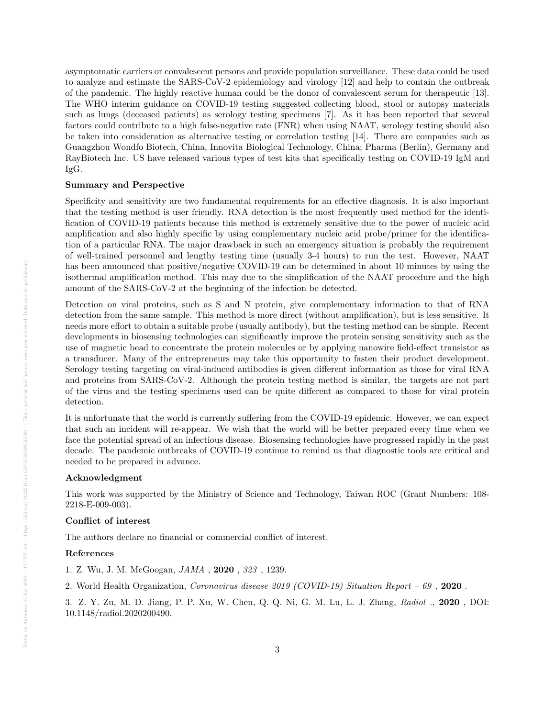asymptomatic carriers or convalescent persons and provide population surveillance. These data could be used to analyze and estimate the SARS-CoV-2 epidemiology and virology [12] and help to contain the outbreak of the pandemic. The highly reactive human could be the donor of convalescent serum for therapeutic [13]. The WHO interim guidance on COVID-19 testing suggested collecting blood, stool or autopsy materials such as lungs (deceased patients) as serology testing specimens [7]. As it has been reported that several factors could contribute to a high false-negative rate (FNR) when using NAAT, serology testing should also be taken into consideration as alternative testing or correlation testing [14]. There are companies such as Guangzhou Wondfo Biotech, China, Innovita Biological Technology, China; Pharma (Berlin), Germany and RayBiotech Inc. US have released various types of test kits that specifically testing on COVID-19 IgM and IgG.

#### Summary and Perspective

Specificity and sensitivity are two fundamental requirements for an effective diagnosis. It is also important that the testing method is user friendly. RNA detection is the most frequently used method for the identification of COVID-19 patients because this method is extremely sensitive due to the power of nucleic acid amplification and also highly specific by using complementary nucleic acid probe/primer for the identification of a particular RNA. The major drawback in such an emergency situation is probably the requirement of well-trained personnel and lengthy testing time (usually 3-4 hours) to run the test. However, NAAT has been announced that positive/negative COVID-19 can be determined in about 10 minutes by using the isothermal amplification method. This may due to the simplification of the NAAT procedure and the high amount of the SARS-CoV-2 at the beginning of the infection be detected.

Detection on viral proteins, such as S and N protein, give complementary information to that of RNA detection from the same sample. This method is more direct (without amplification), but is less sensitive. It needs more effort to obtain a suitable probe (usually antibody), but the testing method can be simple. Recent developments in biosensing technologies can significantly improve the protein sensing sensitivity such as the use of magnetic bead to concentrate the protein molecules or by applying nanowire field-effect transistor as a transducer. Many of the entrepreneurs may take this opportunity to fasten their product development. Serology testing targeting on viral-induced antibodies is given different information as those for viral RNA and proteins from SARS-CoV-2. Although the protein testing method is similar, the targets are not part of the virus and the testing specimens used can be quite different as compared to those for viral protein detection.

It is unfortunate that the world is currently suffering from the COVID-19 epidemic. However, we can expect that such an incident will re-appear. We wish that the world will be better prepared every time when we face the potential spread of an infectious disease. Biosensing technologies have progressed rapidly in the past decade. The pandemic outbreaks of COVID-19 continue to remind us that diagnostic tools are critical and needed to be prepared in advance.

#### Acknowledgment

This work was supported by the Ministry of Science and Technology, Taiwan ROC (Grant Numbers: 108- 2218-E-009-003).

#### Conflict of interest

The authors declare no financial or commercial conflict of interest.

#### References

- 1. Z. Wu, J. M. McGoogan, JAMA , 2020 , 323 , 1239.
- 2. World Health Organization, Coronavirus disease 2019 (COVID-19) Situation Report 69 , 2020 .

3. Z. Y. Zu, M. D. Jiang, P. P. Xu, W. Chen, Q. Q. Ni, G. M. Lu, L. J. Zhang, Radiol ., 2020 , DOI: 10.1148/radiol.2020200490.